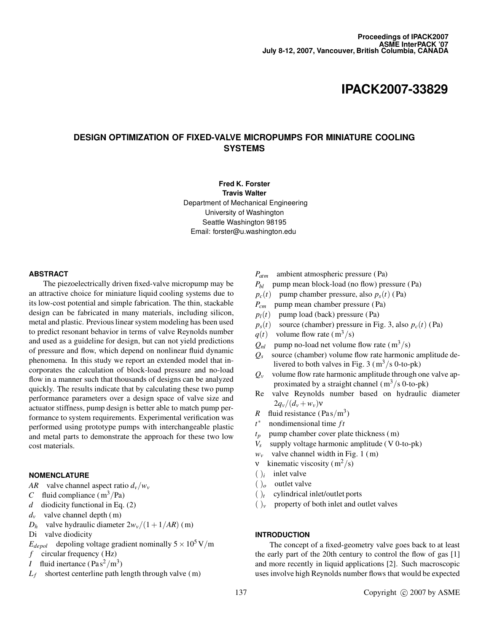# DESIGN OPTIMIZATION OF FIXED-VALVE MICROPUMPS FOR MINIATURE COOLING **SYSTEMS**

Fred K. Forster Travis Walter Department of Mechanical Engineering University of Washington Seattle Washington 98195 Email: forster@u.washington.edu

### ABSTRACT

The piezoelectrically driven fixed-valve micropump may be an attractive choice for miniature liquid cooling systems due to its low-cost potential and simple fabrication. The thin, stackable design can be fabricated in many materials, including silicon, metal and plastic. Previous linear system modeling has been used to predict resonant behavior in terms of valve Reynolds number and used as a guideline for design, but can not yield predictions of pressure and flow, which depend on nonlinear fluid dynamic phenomena. In this study we report an extended model that incorporates the calculation of block-load pressure and no-load flow in a manner such that thousands of designs can be analyzed quickly. The results indicate that by calculating these two pump performance parameters over a design space of valve size and actuator stiffness, pump design is better able to match pump performance to system requirements. Experimental verification was performed using prototype pumps with interchangeable plastic and metal parts to demonstrate the approach for these two low cost materials.

### **NOMENCLATURE**

- AR valve channel aspect ratio  $d_v/w_v$
- C fluid compliance  $(m^3/Pa)$
- $d$  diodicity functional in Eq. (2)
- $d_v$  valve channel depth (m)
- $D_h$  valve hydraulic diameter  $2w_v/(1+1/AR)$  (m)
- Di valve diodicity
- $E_{depol}$  depoling voltage gradient nominally  $5 \times 10^5$  V/m
- f circular frequency  $(Hz)$
- *I* fluid inertance  $(\text{Pa s}^2/\text{m}^3)$
- $L_f$  shortest centerline path length through valve (m)
- $P_{atm}$  ambient atmospheric pressure (Pa)
- $P_{bl}$  pump mean block-load (no flow) pressure (Pa)
- $p_c(t)$  pump chamber pressure, also  $p_s(t)$  (Pa)
- $P_{cm}$  pump mean chamber pressure (Pa)
- $p_l(t)$  pump load (back) pressure (Pa)
- $p_s(t)$  source (chamber) pressure in Fig. 3, also  $p_c(t)$  (Pa)
- $q(t)$  volume flow rate (m<sup>3</sup>/s)
- $Q_{nl}$  pump no-load net volume flow rate (m<sup>3</sup>/s)
- $Q_s$  source (chamber) volume flow rate harmonic amplitude delivered to both valves in Fig. 3 ( $\text{m}^3/\text{s}$  0-to-pk)
- $Q_v$  volume flow rate harmonic amplitude through one valve approximated by a straight channel  $(m<sup>3</sup>/s 0$ -to-pk)
- Re valve Reynolds number based on hydraulic diameter  $2q_v/(d_v + w_v)v$
- R fluid resistance  $(Pas/m^3)$
- $t^*$ nondimensional time  $ft$
- $t_p$  pump chamber cover plate thickness (m)
- $V_s$  supply voltage harmonic amplitude (V 0-to-pk)
- $w_v$  valve channel width in Fig. 1 (m)
- v kinematic viscosity  $(m^2/s)$
- $(j_i$  inlet valve
- $()$ <sub>o</sub> outlet valve
- $(y_t$  cylindrical inlet/outlet ports
- $(y_x)$  property of both inlet and outlet valves

# INTRODUCTION

The concept of a fixed-geometry valve goes back to at least the early part of the 20th century to control the flow of gas [1] and more recently in liquid applications [2]. Such macroscopic uses involve high Reynolds number flows that would be expected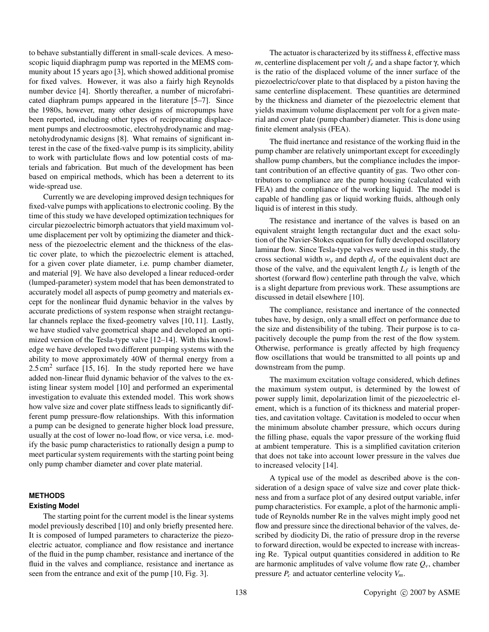to behave substantially different in small-scale devices. A mesoscopic liquid diaphragm pump was reported in the MEMS community about 15 years ago [3], which showed additional promise for fixed valves. However, it was also a fairly high Reynolds number device [4]. Shortly thereafter, a number of microfabricated diaphram pumps appeared in the literature [5–7]. Since the 1980s, however, many other designs of micropumps have been reported, including other types of reciprocating displacement pumps and electroosmotic, electrohydrodynamic and magnetohydrodynamic designs [8]. What remains of significant interest in the case of the fixed-valve pump is its simplicity, ability to work with particlulate flows and low potential costs of materials and fabrication. But much of the development has been based on empirical methods, which has been a deterrent to its wide-spread use.

Currently we are developing improved design techniques for fixed-valve pumps with applications to electronic cooling. By the time of this study we have developed optimization techniques for circular piezoelectric bimorph actuators that yield maximum volume displacement per volt by optimizing the diameter and thickness of the piezoelectric element and the thickness of the elastic cover plate, to which the piezoelectric element is attached, for a given cover plate diameter, i.e. pump chamber diameter, and material [9]. We have also developed a linear reduced-order (lumped-parameter) system model that has been demonstrated to accurately model all aspects of pump geometry and materials except for the nonlinear fluid dynamic behavior in the valves by accurate predictions of system response when straight rectangular channels replace the fixed-geometry valves [10, 11]. Lastly, we have studied valve geometrical shape and developed an optimized version of the Tesla-type valve [12–14]. With this knowledge we have developed two different pumping systems with the ability to move approximately 40W of thermal energy from a  $2.5 \text{ cm}^2$  surface [15, 16]. In the study reported here we have added non-linear fluid dynamic behavior of the valves to the existing linear system model [10] and performed an experimental investigation to evaluate this extended model. This work shows how valve size and cover plate stiffness leads to significantly different pump pressure-flow relationships. With this information a pump can be designed to generate higher block load pressure, usually at the cost of lower no-load flow, or vice versa, i.e. modify the basic pump characteristics to rationally design a pump to meet particular system requirements with the starting point being only pump chamber diameter and cover plate material.

# **METHODS**

## Existing Model

The starting point for the current model is the linear systems model previously described [10] and only briefly presented here. It is composed of lumped parameters to characterize the piezoelectric actuator, compliance and flow resistance and inertance of the fluid in the pump chamber, resistance and inertance of the fluid in the valves and compliance, resistance and inertance as seen from the entrance and exit of the pump [10, Fig. 3].

The actuator is characterized by its stiffness  $k$ , effective mass m, centerline displacement per volt  $f_e$  and a shape factor  $\gamma$ , which is the ratio of the displaced volume of the inner surface of the piezoelectric/cover plate to that displaced by a piston having the same centerline displacement. These quantities are determined by the thickness and diameter of the piezoelectric element that yields maximum volume displacement per volt for a given material and cover plate (pump chamber) diameter. This is done using finite element analysis (FEA).

The fluid inertance and resistance of the working fluid in the pump chamber are relatively unimportant except for exceedingly shallow pump chambers, but the compliance includes the important contribution of an effective quantity of gas. Two other contributors to compliance are the pump housing (calculated with FEA) and the compliance of the working liquid. The model is capable of handling gas or liquid working fluids, although only liquid is of interest in this study.

The resistance and inertance of the valves is based on an equivalent straight length rectangular duct and the exact solution of the Navier-Stokes equation for fully developed oscillatory laminar flow. Since Tesla-type valves were used in this study, the cross sectional width  $w_v$  and depth  $d_v$  of the equivalent duct are those of the valve, and the equivalent length  $L_f$  is length of the shortest (forward flow) centerline path through the valve, which is a slight departure from previous work. These assumptions are discussed in detail elsewhere [10].

The compliance, resistance and inertance of the connected tubes have, by design, only a small effect on performance due to the size and distensibility of the tubing. Their purpose is to capacitively decouple the pump from the rest of the flow system. Otherwise, performance is greatly affected by high frequency flow oscillations that would be transmitted to all points up and downstream from the pump.

The maximum excitation voltage considered, which defines the maximum system output, is determined by the lowest of power supply limit, depolarization limit of the piezoelectric element, which is a function of its thickness and material properties, and cavitation voltage. Cavitation is modeled to occur when the minimum absolute chamber pressure, which occurs during the filling phase, equals the vapor pressure of the working fluid at ambient temperature. This is a simplified cavitation criterion that does not take into account lower pressure in the valves due to increased velocity [14].

A typical use of the model as described above is the consideration of a design space of valve size and cover plate thickness and from a surface plot of any desired output variable, infer pump characteristics. For example, a plot of the harmonic amplitude of Reynolds number Re in the valves might imply good net flow and pressure since the directional behavior of the valves, described by diodicity Di, the ratio of pressure drop in the reverse to forward direction, would be expected to increase with increasing Re. Typical output quantities considered in addition to Re are harmonic amplitudes of valve volume flow rate  $Q_{\nu}$ , chamber pressure  $P_c$  and actuator centerline velocity  $V_m$ .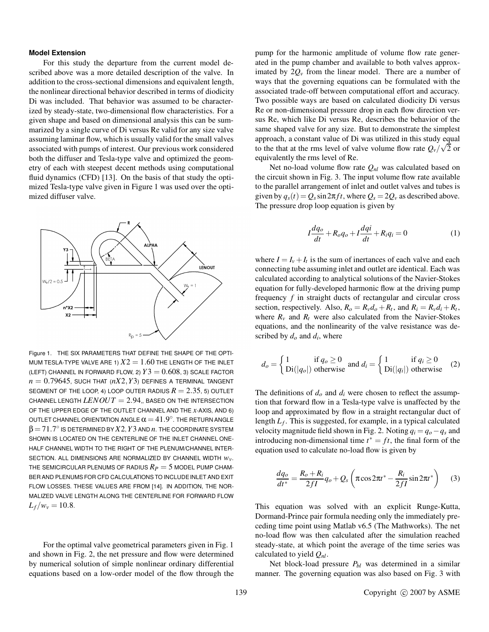## Model Extension

For this study the departure from the current model described above was a more detailed description of the valve. In addition to the cross-sectional dimensions and equivalent length, the nonlinear directional behavior described in terms of diodicity Di was included. That behavior was assumed to be characterized by steady-state, two-dimensional flow characteristics. For a given shape and based on dimensional analysis this can be summarized by a single curve of Di versus Re valid for any size valve assuming laminar flow, which is usually valid for the small valves associated with pumps of interest. Our previous work considered both the diffuser and Tesla-type valve and optimized the geometry of each with steepest decent methods using computational fluid dynamics (CFD) [13]. On the basis of that study the optimized Tesla-type valve given in Figure 1 was used over the optimized diffuser valve.



Figure 1. THE SIX PARAMETERS THAT DEFINE THE SHAPE OF THE OPTI-MUM TESLA-TYPE VALVE ARE 1)  $X2 = 1.60$  THE LENGTH OF THE INLET (LEFT) CHANNEL IN FORWARD FLOW, 2)  $Y3 = 0.608$ , 3) SCALE FACTOR  $n = 0.79645$ , SUCH THAT ( $nX2, Y3$ ) DEFINES A TERMINAL TANGENT SEGMENT OF THE LOOP, 4) LOOP OUTER RADIUS  $R = 2.35$ , 5) OUTLET CHANNEL LENGTH  $LENOUT = 2.94$ , BASED ON THE INTERSECTION OF THE UPPER EDGE OF THE OUTLET CHANNEL AND THE  $x$ -AXIS, AND 6) OUTLET CHANNEL ORIENTATION ANGLE  $\alpha\!=\!41.9^{\circ}$  . The return angle  $\beta\!=\!71.7^\circ$  is determined by  $X2$ ,  $Y3$  and  $n$  . The coordinate system SHOWN IS LOCATED ON THE CENTERLINE OF THE INLET CHANNEL ONE-HALF CHANNEL WIDTH TO THE RIGHT OF THE PLENUM/CHANNEL INTER-SECTION. ALL DIMENSIONS ARE NORMALIZED BY CHANNEL WIDTH  $W_v$ . THE SEMICIRCULAR PLENUMS OF RADIUS  $R_P = 5$  model pump cham-BER AND PLENUMS FOR CFD CALCULATIONS TO INCLUDEINLET AND EXIT FLOW LOSSES. THESE VALUES ARE FROM [14]. IN ADDITION, THE NOR-MALIZED VALVE LENGTH ALONG THE CENTERLINE FOR FORWARD FLOW  $L_f/w_v = 10.8$ .

For the optimal valve geometrical parameters given in Fig. 1 and shown in Fig. 2, the net pressure and flow were determined by numerical solution of simple nonlinear ordinary differential equations based on a low-order model of the flow through the pump for the harmonic amplitude of volume flow rate generated in the pump chamber and available to both valves approximated by  $2O<sub>v</sub>$  from the linear model. There are a number of ways that the governing equations can be formulated with the associated trade-off between computational effort and accuracy. Two possible ways are based on calculated diodicity Di versus Re or non-dimensional pressure drop in each flow direction versus Re, which like Di versus Re, describes the behavior of the same shaped valve for any size. But to demonstrate the simplest approach, a constant value of Di was utilized in this study equal to the that at the rms level of valve volume flow rate  $Q_v / \sqrt{2}$  or equivalently the rms level of Re.

Net no-load volume flow rate  $Q_{nl}$  was calculated based on the circuit shown in Fig. 3. The input volume flow rate available to the parallel arrangement of inlet and outlet valves and tubes is given by  $q_s(t) = Q_s \sin 2\pi f t$ , where  $Q_s = 2Q_v$  as described above. The pressure drop loop equation is given by

$$
I\frac{dq_o}{dt} + R_o q_o + I\frac{dqi}{dt} + R_i q_i = 0
$$
 (1)

where  $I = I_v + I_t$  is the sum of inertances of each valve and each connecting tube assuming inlet and outlet are identical. Each was calculated according to analytical solutions of the Navier-Stokes equation for fully-developed harmonic flow at the driving pump frequency  $f$  in straight ducts of rectangular and circular cross section, respectively. Also,  $R_o = R_v d_o + R_t$ , and  $R_i = R_v d_i + R_t$ , where  $R_v$  and  $R_t$  were also calculated from the Navier-Stokes equations, and the nonlinearity of the valve resistance was described by  $d_0$  and  $d_i$ , where

$$
d_o = \begin{cases} 1 & \text{if } q_o \ge 0 \\ \text{Di}(|q_o|) & \text{otherwise} \end{cases} \text{ and } d_i = \begin{cases} 1 & \text{if } q_i \ge 0 \\ \text{Di}(|q_i|) & \text{otherwise} \end{cases} \tag{2}
$$

The definitions of  $d_0$  and  $d_i$  were chosen to reflect the assumption that forward flow in a Tesla-type valve is unaffected by the loop and approximated by flow in a straight rectangular duct of length  $L_f$ . This is suggested, for example, in a typical calculated velocity magnitude field shown in Fig. 2. Noting  $q_i = q_o - q_s$  and introducing non-dimensional time  $t^* = ft$ , the final form of the equation used to calculate no-load flow is given by

$$
\frac{dq_o}{dt^*} = \frac{R_o + R_i}{2fI}q_o + Q_s\left(\pi\cos 2\pi t^* - \frac{R_i}{2fI}\sin 2\pi t^*\right) \tag{3}
$$

This equation was solved with an explicit Runge-Kutta, Dormand-Prince pair formula needing only the immediately preceding time point using Matlab v6.5 (The Mathworks). The net no-load flow was then calculated after the simulation reached steady-state, at which point the average of the time series was calculated to yield  $Q_{nl}$ .

Net block-load pressure  $P_{bl}$  was determined in a similar manner. The governing equation was also based on Fig. 3 with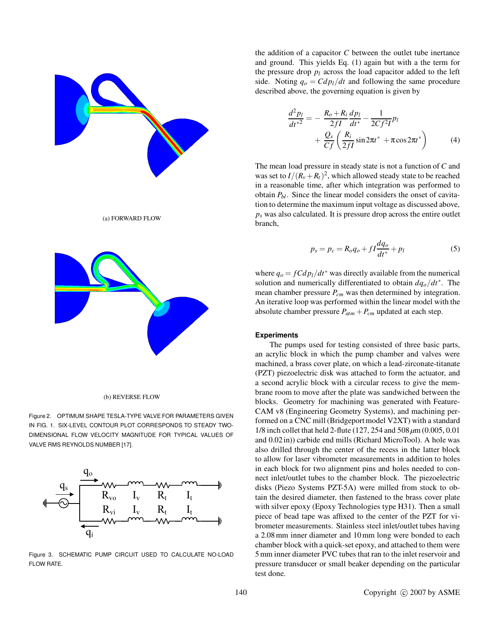

# (a) FORWARD FLOW



#### (b) REVERSE FLOW

Figure 2. OPTIMUM SHAPE TESLA-TYPE VALVE FOR PARAMETERS GIVEN IN FIG. 1. SIX-LEVEL CONTOUR PLOT CORRESPONDS TO STEADY TWO-DIMENSIONAL FLOW VELOCITY MAGNITUDE FOR TYPICAL VALUES OF VALVE RMS REYNOLDS NUMBER [17].



Figure 3. SCHEMATIC PUMP CIRCUIT USED TO CALCULATE NO-LOAD FLOW RATE.

the addition of a capacitor  $C$  between the outlet tube inertance and ground. This yields Eq. (1) again but with a the term for the pressure drop  $p_l$  across the load capacitor added to the left side. Noting  $q_0 = Cdp_l/dt$  and following the same procedure described above, the governing equation is given by

$$
\frac{d^2 p_l}{dt^{*2}} = -\frac{R_o + R_i}{2fI} \frac{dp_l}{dt^*} - \frac{1}{2Cf^2I} p_l + \frac{Q_s}{Cf} \left( \frac{R_i}{2fI} \sin 2\pi t^* + \pi \cos 2\pi t^* \right)
$$
(4)

The mean load pressure in steady state is not a function of C and was set to  $I/(R_v+R_t)^2$ , which allowed steady state to be reached in a reasonable time, after which integration was performed to obtain  $P_{bl}$ . Since the linear model considers the onset of cavitation to determine the maximum input voltage as discussed above,  $p<sub>s</sub>$  was also calculated. It is pressure drop across the entire outlet branch,

$$
p_s = p_c = R_o q_o + f I \frac{dq_o}{dt^*} + p_l \tag{5}
$$

where  $q_0 = fC dp_l/dt^*$  was directly available from the numerical solution and numerically differentiated to obtain  $dq_0/dt^*$ . The mean chamber pressure  $P_{cm}$  was then determined by integration. An iterative loop was performed within the linear model with the absolute chamber pressure  $P_{atm} + P_{cm}$  updated at each step.

### **Experiments**

The pumps used for testing consisted of three basic parts, an acrylic block in which the pump chamber and valves were machined, a brass cover plate, on which a lead-zirconate-titanate (PZT) piezoelectric disk was attached to form the actuator, and a second acrylic block with a circular recess to give the membrane room to move after the plate was sandwiched between the blocks. Geometry for machining was generated with Feature-CAM v8 (Engineering Geometry Systems), and machining performed on a CNC mill (Bridgeport model V2XT) with a standard 1/8 inch collet that held 2-flute (127, 254 and  $508 \,\mu m$  (0.005, 0.01) and 0.02in)) carbide end mills (Richard MicroTool). A hole was also drilled through the center of the recess in the latter block to allow for laser vibrometer measurements in addition to holes in each block for two alignment pins and holes needed to connect inlet/outlet tubes to the chamber block. The piezoelectric disks (Piezo Systems PZT-5A) were milled from stock to obtain the desired diameter, then fastened to the brass cover plate with silver epoxy (Epoxy Technologies type H31). Then a small piece of bead tape was affixed to the center of the PZT for vibrometer measurements. Stainless steel inlet/outlet tubes having a 2.08mm inner diameter and 10mm long were bonded to each chamber block with a quick-set epoxy, and attached to them were 5mm inner diameter PVC tubes that ran to the inlet reservoir and pressure transducer or small beaker depending on the particular test done.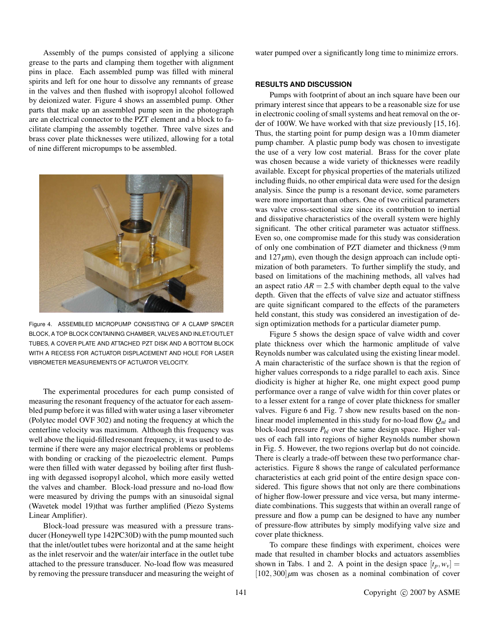Assembly of the pumps consisted of applying a silicone grease to the parts and clamping them together with alignment pins in place. Each assembled pump was filled with mineral spirits and left for one hour to dissolve any remnants of grease in the valves and then flushed with isopropyl alcohol followed by deionized water. Figure 4 shows an assembled pump. Other parts that make up an assembled pump seen in the photograph are an electrical connector to the PZT element and a block to facilitate clamping the assembly together. Three valve sizes and brass cover plate thicknesses were utilized, allowing for a total of nine different micropumps to be assembled.



Figure 4. ASSEMBLED MICROPUMP CONSISTING OF A CLAMP SPACER BLOCK, A TOP BLOCK CONTAINING CHAMBER, VALVES AND INLET/OUTLET TUBES, A COVER PLATE AND ATTACHED PZT DISK AND A BOTTOM BLOCK WITH A RECESS FOR ACTUATOR DISPLACEMENT AND HOLE FOR LASER VIBROMETER MEASUREMENTS OF ACTUATOR VELOCITY.

The experimental procedures for each pump consisted of measuring the resonant frequency of the actuator for each assembled pump before it was filled with water using a laser vibrometer (Polytec model OVF 302) and noting the frequency at which the centerline velocity was maximum. Although this frequency was well above the liquid-filled resonant frequency, it was used to determine if there were any major electrical problems or problems with bonding or cracking of the piezoelectric element. Pumps were then filled with water degassed by boiling after first flushing with degassed isopropyl alcohol, which more easily wetted the valves and chamber. Block-load pressure and no-load flow were measured by driving the pumps with an sinusoidal signal (Wavetek model 19)that was further amplified (Piezo Systems Linear Amplifier).

Block-load pressure was measured with a pressure transducer (Honeywell type 142PC30D) with the pump mounted such that the inlet/outlet tubes were horizontal and at the same height as the inlet reservoir and the water/air interface in the outlet tube attached to the pressure transducer. No-load flow was measured by removing the pressure transducer and measuring the weight of water pumped over a significantly long time to minimize errors.

# RESULTS AND DISCUSSION

Pumps with footprint of about an inch square have been our primary interest since that appears to be a reasonable size for use in electronic cooling of small systems and heat removal on the order of 100W. We have worked with that size previously [15, 16]. Thus, the starting point for pump design was a 10mm diameter pump chamber. A plastic pump body was chosen to investigate the use of a very low cost material. Brass for the cover plate was chosen because a wide variety of thicknesses were readily available. Except for physical properties of the materials utilized including fluids, no other empirical data were used for the design analysis. Since the pump is a resonant device, some parameters were more important than others. One of two critical parameters was valve cross-sectional size since its contribution to inertial and dissipative characteristics of the overall system were highly significant. The other critical parameter was actuator stiffness. Even so, one compromise made for this study was consideration of only one combination of PZT diameter and thickness (9mm and  $127 \mu m$ , even though the design approach can include optimization of both parameters. To further simplify the study, and based on limitations of the machining methods, all valves had an aspect ratio  $AR = 2.5$  with chamber depth equal to the valve depth. Given that the effects of valve size and actuator stiffness are quite significant compared to the effects of the parameters held constant, this study was considered an investigation of design optimization methods for a particular diameter pump.

Figure 5 shows the design space of valve width and cover plate thickness over which the harmonic amplitude of valve Reynolds number was calculated using the existing linear model. A main characteristic of the surface shown is that the region of higher values corresponds to a ridge parallel to each axis. Since diodicity is higher at higher Re, one might expect good pump performance over a range of valve width for thin cover plates or to a lesser extent for a range of cover plate thickness for smaller valves. Figure 6 and Fig. 7 show new results based on the nonlinear model implemented in this study for no-load flow  $Q_{nl}$  and block-load pressure  $P_{bl}$  over the same design space. Higher values of each fall into regions of higher Reynolds number shown in Fig. 5. However, the two regions overlap but do not coincide. There is clearly a trade-off between these two performance characteristics. Figure 8 shows the range of calculated performance characteristics at each grid point of the entire design space considered. This figure shows that not only are there combinations of higher flow-lower pressure and vice versa, but many intermediate combinations. This suggests that within an overall range of pressure and flow a pump can be designed to have any number of pressure-flow attributes by simply modifying valve size and cover plate thickness.

To compare these findings with experiment, choices were made that resulted in chamber blocks and actuators assemblies shown in Tabs. 1 and 2. A point in the design space  $[t_p, w_y] =$  $[102, 300] \mu$ m was chosen as a nominal combination of cover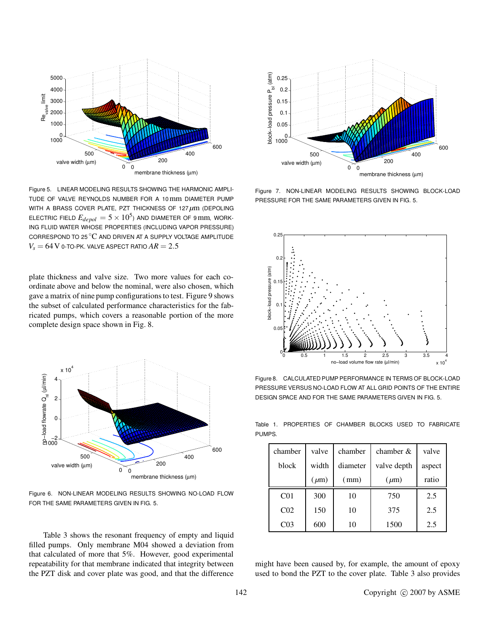

Figure 5. LINEAR MODELING RESULTS SHOWING THE HARMONIC AMPLI-TUDE OF VALVE REYNOLDS NUMBER FOR A 10mm DIAMETER PUMP WITH A BRASS COVER PLATE, PZT THICKNESS OF 127  $\mu$ m (DEPOLING ELECTRIC FIELD  $E_{depol} = 5 \times 10^5$ ) and diameter of 9 mm, work-ING FLUID WATER WHOSE PROPERTIES (INCLUDING VAPOR PRESSURE) CORRESPOND TO 25  $\mathrm{^{\circ}C}$  and driven at a supply voltage amplitude  $V_s = 64$  V 0-TO-PK. VALVE ASPECT RATIO  $AR = 2.5$ 

plate thickness and valve size. Two more values for each coordinate above and below the nominal, were also chosen, which gave a matrix of nine pump configurations to test. Figure 9 shows the subset of calculated performance characteristics for the fabricated pumps, which covers a reasonable portion of the more complete design space shown in Fig. 8.



Figure 6. NON-LINEAR MODELING RESULTS SHOWING NO-LOAD FLOW FOR THE SAME PARAMETERS GIVEN IN FIG. 5.

Table 3 shows the resonant frequency of empty and liquid filled pumps. Only membrane M04 showed a deviation from that calculated of more that 5%. However, good experimental repeatability for that membrane indicated that integrity between the PZT disk and cover plate was good, and that the difference



Figure 7. NON-LINEAR MODELING RESULTS SHOWING BLOCK-LOAD PRESSURE FOR THE SAME PARAMETERS GIVEN IN FIG. 5.



Figure 8. CALCULATED PUMP PERFORMANCE IN TERMS OF BLOCK-LOAD PRESSURE VERSUS NO-LOAD FLOW AT ALL GRID POINTS OF THE ENTIRE DESIGN SPACE AND FOR THE SAME PARAMETERS GIVEN IN FIG. 5.

Table 1. PROPERTIES OF CHAMBER BLOCKS USED TO FABRICATE PUMPS.

| chamber         | valve     | chamber  | chamber $&$ | valve  |  |  |
|-----------------|-----------|----------|-------------|--------|--|--|
| block           | width     | diameter | valve depth | aspect |  |  |
|                 | $(\mu m)$ | (mm)     | $(\mu m)$   | ratio  |  |  |
| CO <sub>1</sub> | 300       | 10       | 750         | 2.5    |  |  |
| C <sub>02</sub> | 150       | 10       | 375         | 2.5    |  |  |
| C03             | 600       | 10       | 1500        | 2.5    |  |  |

might have been caused by, for example, the amount of epoxy used to bond the PZT to the cover plate. Table 3 also provides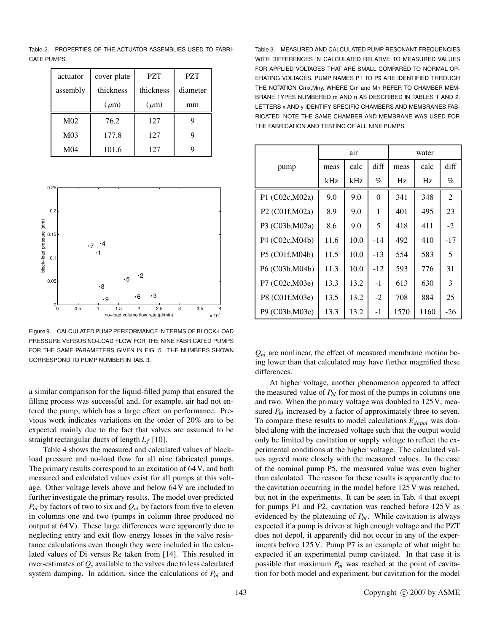Table 2. PROPERTIES OF THE ACTUATOR ASSEMBLIES USED TO FABRI-CATE PUMPS.

| actuator        | cover plate | <b>PZT</b> | <b>PZT</b> |  |  |
|-----------------|-------------|------------|------------|--|--|
| assembly        | thickness   | thickness  | diameter   |  |  |
|                 | $(\mu m)$   | $(\mu m)$  | mm         |  |  |
| M <sub>02</sub> | 76.2        | 127        |            |  |  |
| M <sub>03</sub> | 177.8       | 127        | 9          |  |  |
| M <sub>04</sub> | 101.6       | 127        |            |  |  |



Figure 9. CALCULATED PUMP PERFORMANCE IN TERMS OF BLOCK-LOAD PRESSURE VERSUS NO-LOAD FLOW FOR THE NINE FABRICATED PUMPS FOR THE SAME PARAMETERS GIVEN IN FIG. 5. THE NUMBERS SHOWN CORRESPOND TO PUMP NUMBER IN TAB. 3.

a similar comparison for the liquid-filled pump that ensured the filling process was successful and, for example, air had not entered the pump, which has a large effect on performance. Previous work indicates variations on the order of 20% are to be expected mainly due to the fact that valves are assumed to be straight rectangular ducts of length  $L_f$  [10].

Table 4 shows the measured and calculated values of blockload pressure and no-load flow for all nine fabricated pumps. The primary results correspond to an excitation of 64 V, and both measured and calculated values exist for all pumps at this voltage. Other voltage levels above and below 64 V are included to further investigate the primary results. The model over-predicted  $P_{bl}$  by factors of two to six and  $Q_{nl}$  by factors from five to eleven in columns one and two (pumps in column three produced no output at 64 V). These large differences were apparently due to neglecting entry and exit flow energy losses in the valve resistance calculations even though they were included in the calculated values of Di versus Re taken from [14]. This resulted in over-estimates of  $Q_s$  available to the valves due to less calculated system damping. In addition, since the calculations of  $P_{bl}$  and

Table 3. MEASURED AND CALCULATED PUMP RESONANT FREQUENCIES WITH DIFFERENCES IN CALCULATED RELATIVE TO MEASURED VALUES FOR APPLIED VOLTAGES THAT ARE SMALL COMPARED TO NORMAL OP-ERATING VOLTAGES. PUMP NAMES P1 TO P9 ARE IDENTIFIED THROUGH THE NOTATION Cmx,Mny, WHERE Cm and Mn REFER TO CHAMBER MEM-BRANE TYPES NUMBERED m AND n AS DESCRIBED IN TABLES 1 AND 2. LETTERS x AND y IDENTIFY SPECIFIC CHAMBERS AND MEMBRANES FAB-RICATED. NOTE THE SAME CHAMBER AND MEMBRANE WAS USED FOR THE FABRICATION AND TESTING OF ALL NINE PUMPS.

|                 |      | air  |          | water |      |              |  |
|-----------------|------|------|----------|-------|------|--------------|--|
| pump            | meas | calc | diff     | meas  | calc | diff<br>$\%$ |  |
|                 | kHz  | kHz  | $\%$     | Hz    | Hz   |              |  |
| P1 (C02c, M02a) | 9.0  | 9.0  | $\theta$ | 341   | 348  | 2            |  |
| P2 (C01f, M02a) | 8.9  | 9.0  | 1        | 401   | 495  | 23           |  |
| P3 (C03b, M02a) | 8.6  | 9.0  | 5        | 418   | 411  | $-2$         |  |
| P4 (C02c, M04b) | 11.6 | 10.0 | -14      | 492   | 410  | $-17$        |  |
| P5 (C01f, M04b) | 11.5 | 10.0 | $-13$    | 554   | 583  | 5            |  |
| P6 (C03b, M04b) | 11.3 | 10.0 | $-12$    | 593   | 776  | 31           |  |
| P7 (C02c, M03e) | 13.3 | 13.2 | $-1$     | 613   | 630  | 3            |  |
| P8 (C01f, M03e) | 13.5 | 13.2 | $-2$     | 708   | 884  | 25           |  |
| P9 (C03b, M03e) | 13.3 | 13.2 | $-1$     | 1570  | 1160 | $-26$        |  |

 $Q_{nl}$  are nonlinear, the effect of measured membrane motion being lower than that calculated may have further magnified these differences.

At higher voltage, another phenomenon appeared to affect the measured value of  $P_{bl}$  for most of the pumps in columns one and two. When the primary voltage was doubled to 125 V, measured  $P_{bl}$  increased by a factor of approximately three to seven. To compare these results to model calculations  $E_{depol}$  was doubled along with the increased voltage such that the output would only be limited by cavitation or supply voltage to reflect the experimental conditions at the higher voltage. The calculated values agreed more closely with the measured values. In the case of the nominal pump P5, the measured value was even higher than calculated. The reason for these results is apparently due to the cavitation occurring in the model before 125 V was reached, but not in the experiments. It can be seen in Tab. 4 that except for pumps P1 and P2, cavitation was reached before 125 V as evidenced by the plateauing of  $P_{bl}$ . While cavitation is always expected if a pump is driven at high enough voltage and the PZT does not depol, it apparently did not occur in any of the experiments before 125 V. Pump P7 is an example of what might be expected if an experimental pump cavitated. In that case it is possible that maximum  $P_{bl}$  was reached at the point of cavitation for both model and experiment, but cavitation for the model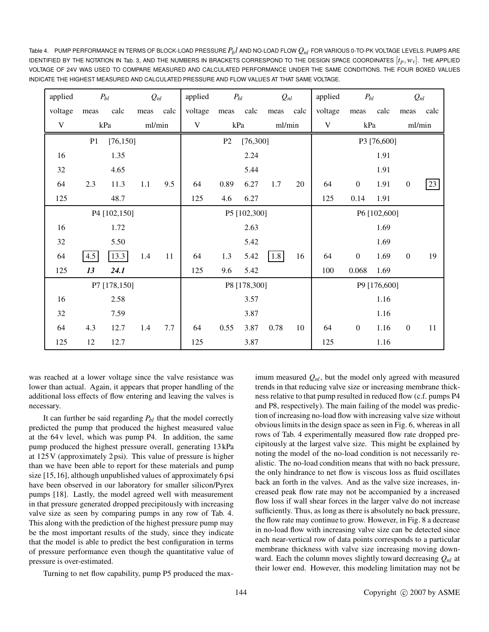Table 4. PUMP PERFORMANCE IN TERMS OF BLOCK-LOAD PRESSURE  $P_b l$  AND NO-LOAD FLOW  $Q_{nl}$  FOR VARIOUS 0-TO-PK VOLTAGE LEVELS. PUMPS ARE IDENTIFIED BY THE NOTATION IN Tab. 3, AND THE NUMBERS IN BRACKETS CORRESPOND TO THE DESIGN SPACE COORDINATES  $[t_p, w_v]$ . THE APPLIED VOLTAGE OF 24V WAS USED TO COMPARE MEASURED AND CALCULATED PERFORMANCE UNDER THE SAME CONDITIONS. THE FOUR BOXED VALUES INDICATE THE HIGHEST MEASURED AND CALCULATED PRESSURE AND FLOW VALUES AT THAT SAME VOLTAGE.

| applied<br>$P_{bl}$ |                 | $Q_{nl}$ |        | applied<br>$P_{bl}$ |              | $Q_{nl}$                   |      | applied      | $P_{bl}$     |             | $Q_{nl}$         |      |                  |      |
|---------------------|-----------------|----------|--------|---------------------|--------------|----------------------------|------|--------------|--------------|-------------|------------------|------|------------------|------|
| voltage             | meas            | calc     | meas   | calc                | voltage      | meas                       | calc | meas         | calc         | voltage     | meas             | calc | meas             | calc |
| $\mathbf V$         |                 | kPa      | ml/min |                     | $\mathbf V$  | kPa                        |      | ml/min       |              | $\mathbf V$ | kPa              |      | ml/min           |      |
|                     | P1<br>[76, 150] |          |        |                     |              | [76,300]<br>P <sub>2</sub> |      |              | P3 [76,600]  |             |                  |      |                  |      |
| 16                  |                 | 1.35     |        |                     |              |                            | 2.24 |              |              |             |                  | 1.91 |                  |      |
| 32                  |                 | 4.65     |        |                     |              |                            | 5.44 |              |              |             |                  | 1.91 |                  |      |
| 64                  | 2.3             | 11.3     | 1.1    | 9.5                 | 64           | 0.89                       | 6.27 | 1.7          | 20           | 64          | $\boldsymbol{0}$ | 1.91 | $\boldsymbol{0}$ | 23   |
| 125                 |                 | 48.7     |        |                     | 125          | 4.6                        | 6.27 |              |              | 125         | 0.14             | 1.91 |                  |      |
| P4 [102,150]        |                 |          |        |                     | P5 [102,300] |                            |      |              | P6 [102,600] |             |                  |      |                  |      |
| 16                  |                 | 1.72     |        |                     |              |                            | 2.63 |              |              |             |                  | 1.69 |                  |      |
| 32                  |                 | 5.50     |        |                     |              |                            | 5.42 |              |              |             |                  | 1.69 |                  |      |
| 64                  | 4.5             | 13.3     | 1.4    | 11                  | 64           | 1.3                        | 5.42 | 1.8          | 16           | 64          | $\boldsymbol{0}$ | 1.69 | $\boldsymbol{0}$ | 19   |
| 125                 | 13              | 24.1     |        |                     | 125          | 9.6                        | 5.42 |              |              | 100         | 0.068            | 1.69 |                  |      |
| P7 [178,150]        |                 |          |        |                     | P8 [178,300] |                            |      | P9 [176,600] |              |             |                  |      |                  |      |
| 16                  |                 | 2.58     |        |                     |              |                            | 3.57 |              |              |             |                  | 1.16 |                  |      |
| 32                  |                 | 7.59     |        |                     |              |                            | 3.87 |              |              |             |                  | 1.16 |                  |      |
| 64                  | 4.3             | 12.7     | 1.4    | 7.7                 | 64           | 0.55                       | 3.87 | 0.78         | 10           | 64          | $\boldsymbol{0}$ | 1.16 | $\boldsymbol{0}$ | 11   |
| 125                 | 12              | 12.7     |        |                     | 125          |                            | 3.87 |              |              | 125         |                  | 1.16 |                  |      |

was reached at a lower voltage since the valve resistance was lower than actual. Again, it appears that proper handling of the additional loss effects of flow entering and leaving the valves is necessary.

It can further be said regarding  $P_{bl}$  that the model correctly predicted the pump that produced the highest measured value at the 64 v level, which was pump P4. In addition, the same pump produced the highest pressure overall, generating 13 kPa at 125 V (approximately 2 psi). This value of pressure is higher than we have been able to report for these materials and pump size [15,16], although unpublished values of approximately 6 psi have been observed in our laboratory for smaller silicon/Pyrex pumps [18]. Lastly, the model agreed well with measurement in that pressure generated dropped precipitously with increasing valve size as seen by comparing pumps in any row of Tab. 4. This along with the prediction of the highest pressure pump may be the most important results of the study, since they indicate that the model is able to predict the best configuration in terms of pressure performance even though the quantitative value of pressure is over-estimated.

Turning to net flow capability, pump P5 produced the max-

imum measured  $Q_{nl}$ , but the model only agreed with measured trends in that reducing valve size or increasing membrane thickness relative to that pump resulted in reduced flow (c.f. pumps P4 and P8, respectively). The main failing of the model was prediction of increasing no-load flow with increasing valve size without obvious limits in the design space as seen in Fig. 6, whereas in all rows of Tab. 4 experimentally measured flow rate dropped precipitously at the largest valve size. This might be explained by noting the model of the no-load condition is not necessarily realistic. The no-load condition means that with no back pressure, the only hindrance to net flow is viscous loss as fluid oscillates back an forth in the valves. And as the valve size increases, increased peak flow rate may not be accompanied by a increased flow loss if wall shear forces in the larger valve do not increase sufficiently. Thus, as long as there is absolutely no back pressure, the flow rate may continue to grow. However, in Fig. 8 a decrease in no-load flow with increasing valve size can be detected since each near-vertical row of data points corresponds to a particular membrane thickness with valve size increasing moving downward. Each the column moves slightly toward decreasing  $Q_{nl}$  at their lower end. However, this modeling limitation may not be